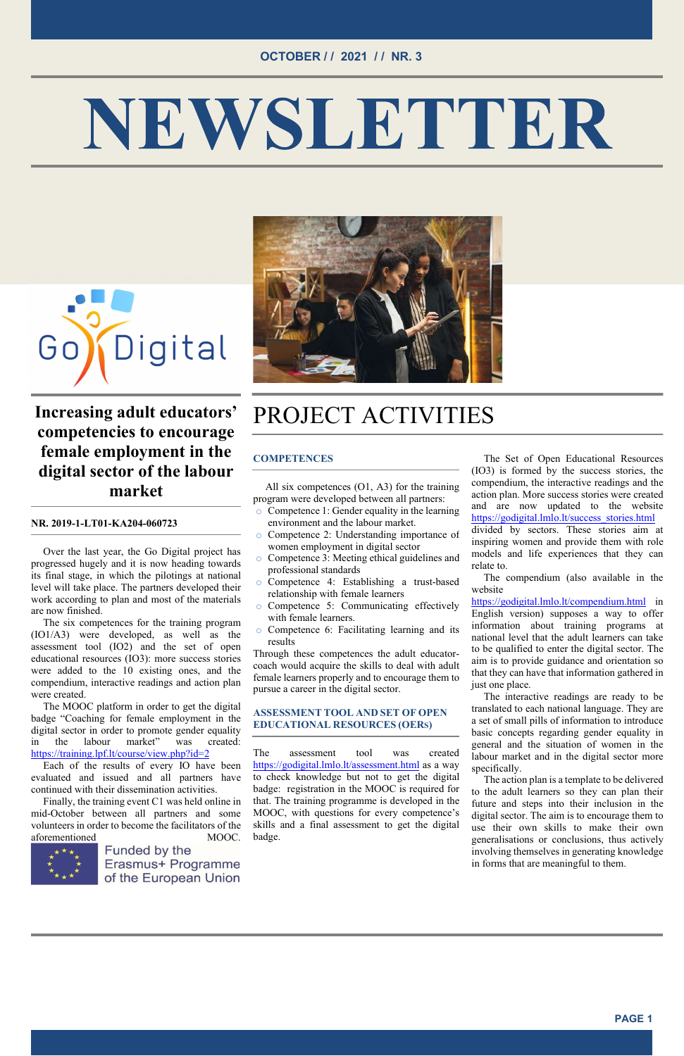#### OCTOBER / / 2021 / / NR. 3

# NEWSLETTER





### Increasing adult educators' competencies to encourage female employment in the digital sector of the labour market

#### NR. 2019-1-LT01-KA204-060723

Over the last year, the Go Digital project has progressed hugely and it is now heading towards its final stage, in which the pilotings at national level will take place. The partners developed their work according to plan and most of the materials are now finished.

The six competences for the training program (IO1/A3) were developed, as well as the assessment tool (IO2) and the set of open educational resources (IO3): more success stories were added to the 10 existing ones, and the compendium, interactive readings and action plan were created.

The MOOC platform in order to get the digital badge "Coaching for female employment in the digital sector in order to promote gender equality in the labour market" was created: https://training.lpf.lt/course/view.php?id=2

Each of the results of every IO have been evaluated and issued and all partners have continued with their dissemination activities.

Finally, the training event C1 was held online in mid-October between all partners and some volunteers in order to become the facilitators of the aforementioned MOOC.

Funded by the Erasmus+ Programme of the European Union

## PROJECT ACTIVITIES

#### **COMPETENCES**

All six competences (O1, A3) for the training program were developed between all partners:

> https://godigital.lmlo.lt/compendium.html in English version) supposes a way to offer information about training programs at national level that the adult learners can take to be qualified to enter the digital sector. The aim is to provide guidance and orientation so that they can have that information gathered in just one place.

- o Competence 1: Gender equality in the learning environment and the labour market.
- o Competence 2: Understanding importance of women employment in digital sector
- o Competence 3: Meeting ethical guidelines and professional standards
- o Competence 4: Establishing a trust-based relationship with female learners
- o Competence 5: Communicating effectively with female learners.
- o Competence 6: Facilitating learning and its results

Through these competences the adult educatorcoach would acquire the skills to deal with adult female learners properly and to encourage them to pursue a career in the digital sector.

#### ASSESSMENT TOOL AND SET OF OPEN EDUCATIONAL RESOURCES (OERS)

The assessment tool was created https://godigital.lmlo.lt/assessment.html as a way to check knowledge but not to get the digital badge: registration in the MOOC is required for that. The training programme is developed in the MOOC, with questions for every competence's skills and a final assessment to get the digital badge.

The Set of Open Educational Resources (IO3) is formed by the success stories, the compendium, the interactive readings and the action plan. More success stories were created and are now updated to the website https://godigital.lmlo.lt/success\_stories.html

divided by sectors. These stories aim at inspiring women and provide them with role models and life experiences that they can relate to.

The compendium (also available in the website

The interactive readings are ready to be translated to each national language. They are a set of small pills of information to introduce basic concepts regarding gender equality in general and the situation of women in the labour market and in the digital sector more specifically.

The action plan is a template to be delivered to the adult learners so they can plan their future and steps into their inclusion in the digital sector. The aim is to encourage them to use their own skills to make their own generalisations or conclusions, thus actively involving themselves in generating knowledge in forms that are meaningful to them.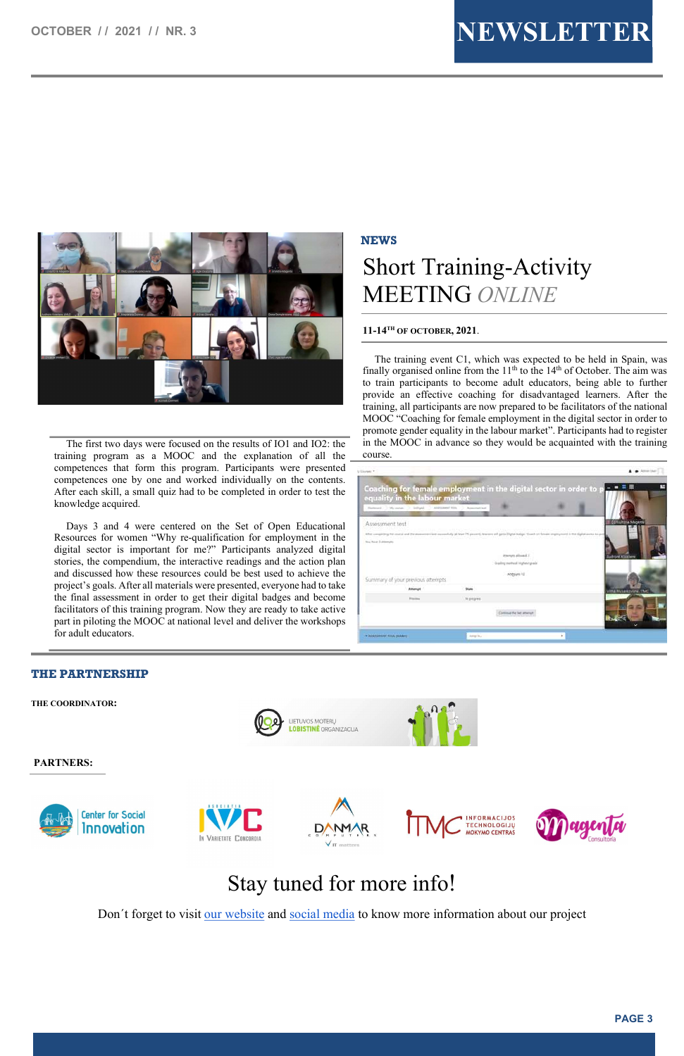



The first two days were focused on the results of IO1 and IO2: the training program as a MOOC and the explanation of all the competences that form this program. Participants were presented competences one by one and worked individually on the contents. After each skill, a small quiz had to be completed in order to test the knowledge acquired.

Days 3 and 4 were centered on the Set of Open Educational Resources for women "Why re-qualification for employment in the digital sector is important for me?" Participants analyzed digital stories, the compendium, the interactive readings and the action plan and discussed how these resources could be best used to achieve the project's goals. After all materials were presented, everyone had to take the final assessment in order to get their digital badges and become facilitators of this training program. Now they are ready to take active part in piloting the MOOC at national level and deliver the workshops for adult educators.

#### **NEWS**

## Short Training-Activity MEETING ONLINE

#### 11-14TH OF OCTOBER, 2021.

The training event C1, which was expected to be held in Spain, was finally organised online from the  $11<sup>th</sup>$  to the  $14<sup>th</sup>$  of October. The aim was to train participants to become adult educators, being able to further provide an effective coaching for disadvantaged learners. After the training, all participants are now prepared to be facilitators of the national MOOC "Coaching for female employment in the digital sector in order to promote gender equality in the labour market". Participants had to register in the MOOC in advance so they would be acquainted with the training course.

| equality in the labour market     |               |                  | Coaching for female employment in the digital sector in order to p                                                                    |                                 |                              |
|-----------------------------------|---------------|------------------|---------------------------------------------------------------------------------------------------------------------------------------|---------------------------------|------------------------------|
| Darkware - Manaman - J. Bellraha  | ASMIAMMI 100% | Automotive Final |                                                                                                                                       |                                 |                              |
| Assessment test                   |               |                  |                                                                                                                                       |                                 | CONsultatia Maganta          |
|                                   |               |                  | After completing the course and the assessment feet community (at Mart 75 percent), lawrent will just a 20 ptal badge. Court- on fats | with in the digital series four |                              |
| to a have 3 attempts.             |               |                  |                                                                                                                                       |                                 |                              |
|                                   |               |                  |                                                                                                                                       |                                 |                              |
|                                   |               |                  | itterum elimed 5                                                                                                                      |                                 | <b><i>USONERTAINMENT</i></b> |
|                                   |               |                  | Grading particul interval special                                                                                                     |                                 |                              |
|                                   |               |                  | Abdyunn 12                                                                                                                            |                                 |                              |
| Summary of your previous attempts |               |                  |                                                                                                                                       |                                 |                              |
| Attampt                           |               | <b>State</b>     |                                                                                                                                       |                                 | vima Michankoviene, 1TMC     |
| <b>Francis</b>                    |               | . In progress    |                                                                                                                                       |                                 |                              |
|                                   |               |                  |                                                                                                                                       |                                 |                              |
|                                   |               |                  | Comme the let attempt                                                                                                                 |                                 |                              |

#### THE PARTNERSHIP

THE COORDINATOR:



**LIETUVOS MOTERU LOBISTINÉ** ORGANIZACIJA



#### PARTNERS:



## Stay tuned for more info!

Don't forget to visit <u>our website</u> and social media to know more information about our project